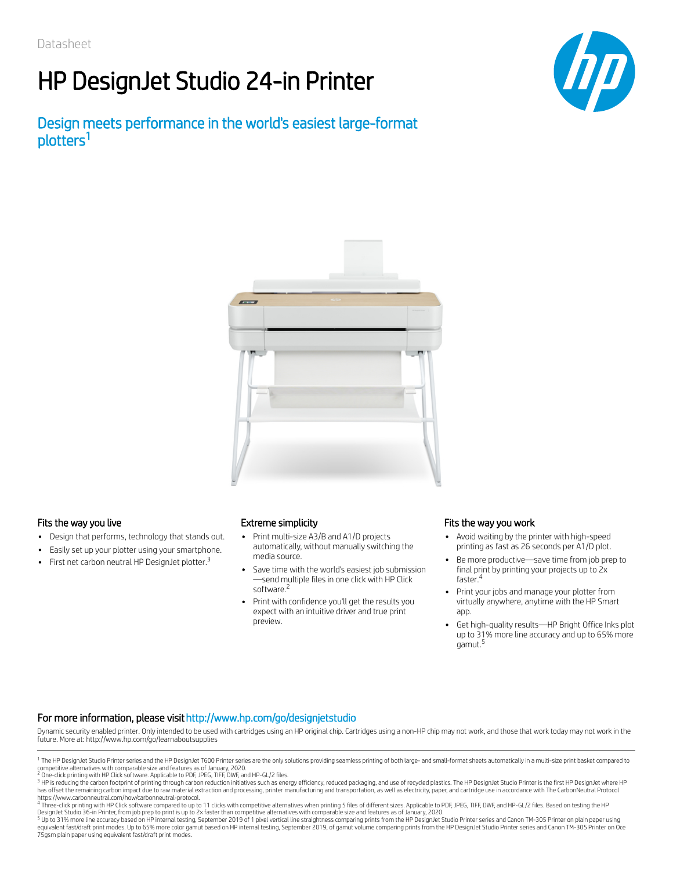# HP DesignJet Studio 24-in Printer

Design meets performance in the world's easiest large-format plotters 1





- Design that performs, technology that stands out.  $\bullet$
- Easily set up your plotter using your smartphone.
- First net carbon neutral HP DesignJet plotter.<sup>3</sup>  $\bullet$

- Print multi-size A3/B and A1/D projects automatically, without manually switching the media source.
- Save time with the world's easiest job submission —send multiple files in one click with HP Click software.<sup>2</sup>
- Print with confidence you'll get the results you expect with an intuitive driver and true print preview.

### Fits the way you live Extreme simplicity Fits the way you work Fits the way you work

- Avoid waiting by the printer with high-speed printing as fast as 26 seconds per A1/D plot.
- $\bullet$ Be more productive—save time from job prep to final print by printing your projects up to 2x faster. 4
- Print your jobs and manage your plotter from virtually anywhere, anytime with the HP Smart app.
- Get high-quality results—HP Bright Office Inks plot up to 31% more line accuracy and up to 65% more gamut. 5

### For more information, please visit http://www.hp.com/go/designjetstudio

Dynamic security enabled printer. Only intended to be used with cartridges using an HP original chip. Cartridges using a non-HP chip may not work, and those that work today may not work in the future. More at: http://www.hp.com/go/learnaboutsupplies

<sup>&</sup>lt;sup>1</sup> The HP DesignJet Studio Printer series and the HP DesignJet T600 Printer series are the only solutions providing seamless printing of both large- and small-format sheets automatically in a multi-size print basket compa competitive alternatives with comparable size and features as of January, 2020.<br><sup>2</sup> One-click printing with HP Click software. Applicable to PDF, JPEG, TIFF, DWF, and HP-GL/2 files.

<sup>&</sup>lt;sup>3</sup> HP is reducing the carbon footprint of printing through carbon reduction initiatives such as energy efficiency, reduced packaging, and use of recycled plastics. The HP DesignJet Studio Printer is the first HP DesignJet has offset the remaining carbon impact due to raw material extraction and processing, printer manufacturing and transportation, as well as electricity, paper, and cartridge use in accordance with The CarbonNeutral Protocol

<sup>&</sup>lt;sup>4</sup> Three-click printing with HP Click software compared to up to 11 clicks with competitive alternatives when printing 5 files of different sizes. Applicable to PDF, JPEG, TIFF, DWF, and HP-GL/2 files. Based on testing th

<sup>&</sup>lt;sup>5</sup> Up to 31% more line accuracy based on HP internal testing, September 2019 of 1 pixel vertical line straightness comparing prints from the HP DesignJet Studio Printer series and Canon TM-305 Printer on plain paper using 75gsm plain paper using equivalent fast/draft print modes.